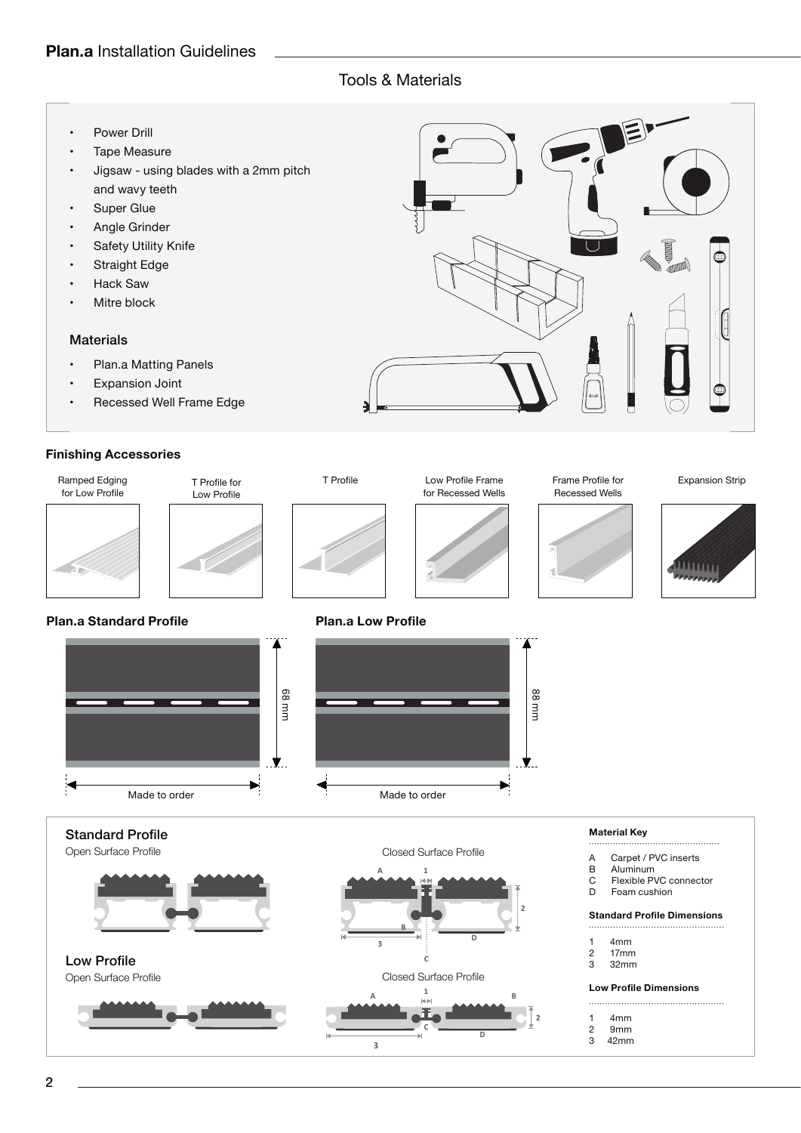## Tools & Materials

- Power Drill
- Tape Measure
- Jigsaw using blades with a 2mm pitch and wavy teeth
- Super Glue
- Angle Grinder
- Safety Utility Knife
- Straight Edge
- Hack Saw
- Mitre block

### **Materials**

- Plan.a Matting Panels
- Expansion Joint
- Recessed Well Frame Edge

## **Finishing Accessories**



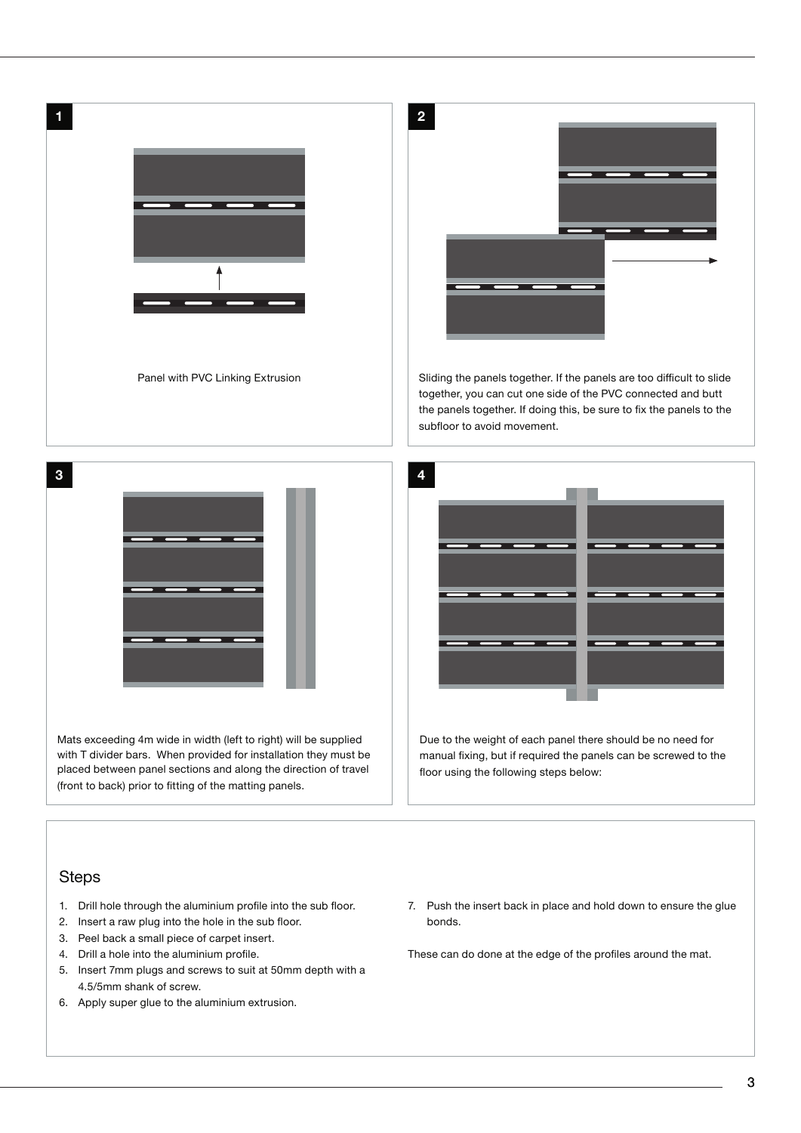|                                                                                                                                                                                                                                                                    | $\overline{\mathbf{c}}$                                                                                                                                                                                                                      |
|--------------------------------------------------------------------------------------------------------------------------------------------------------------------------------------------------------------------------------------------------------------------|----------------------------------------------------------------------------------------------------------------------------------------------------------------------------------------------------------------------------------------------|
| Panel with PVC Linking Extrusion                                                                                                                                                                                                                                   | Sliding the panels together. If the panels are too difficult to slide<br>together, you can cut one side of the PVC connected and butt<br>the panels together. If doing this, be sure to fix the panels to the<br>subfloor to avoid movement. |
|                                                                                                                                                                                                                                                                    |                                                                                                                                                                                                                                              |
|                                                                                                                                                                                                                                                                    |                                                                                                                                                                                                                                              |
| Mats exceeding 4m wide in width (left to right) will be supplied<br>with T divider bars. When provided for installation they must be<br>placed between panel sections and along the direction of travel<br>(front to back) prior to fitting of the matting panels. | Due to the weight of each panel there should be no need for<br>manual fixing, but if required the panels can be screwed to the<br>floor using the following steps below:                                                                     |
| <b>Steps</b>                                                                                                                                                                                                                                                       |                                                                                                                                                                                                                                              |

- 1. Drill hole through the aluminium profile into the sub floor.
- 2. Insert a raw plug into the hole in the sub floor.
- 3. Peel back a small piece of carpet insert.
- 4. Drill a hole into the aluminium profile.
- 5. Insert 7mm plugs and screws to suit at 50mm depth with a 4.5/5mm shank of screw.
- 6. Apply super glue to the aluminium extrusion.

7. Push the insert back in place and hold down to ensure the glue bonds.

These can do done at the edge of the profiles around the mat.